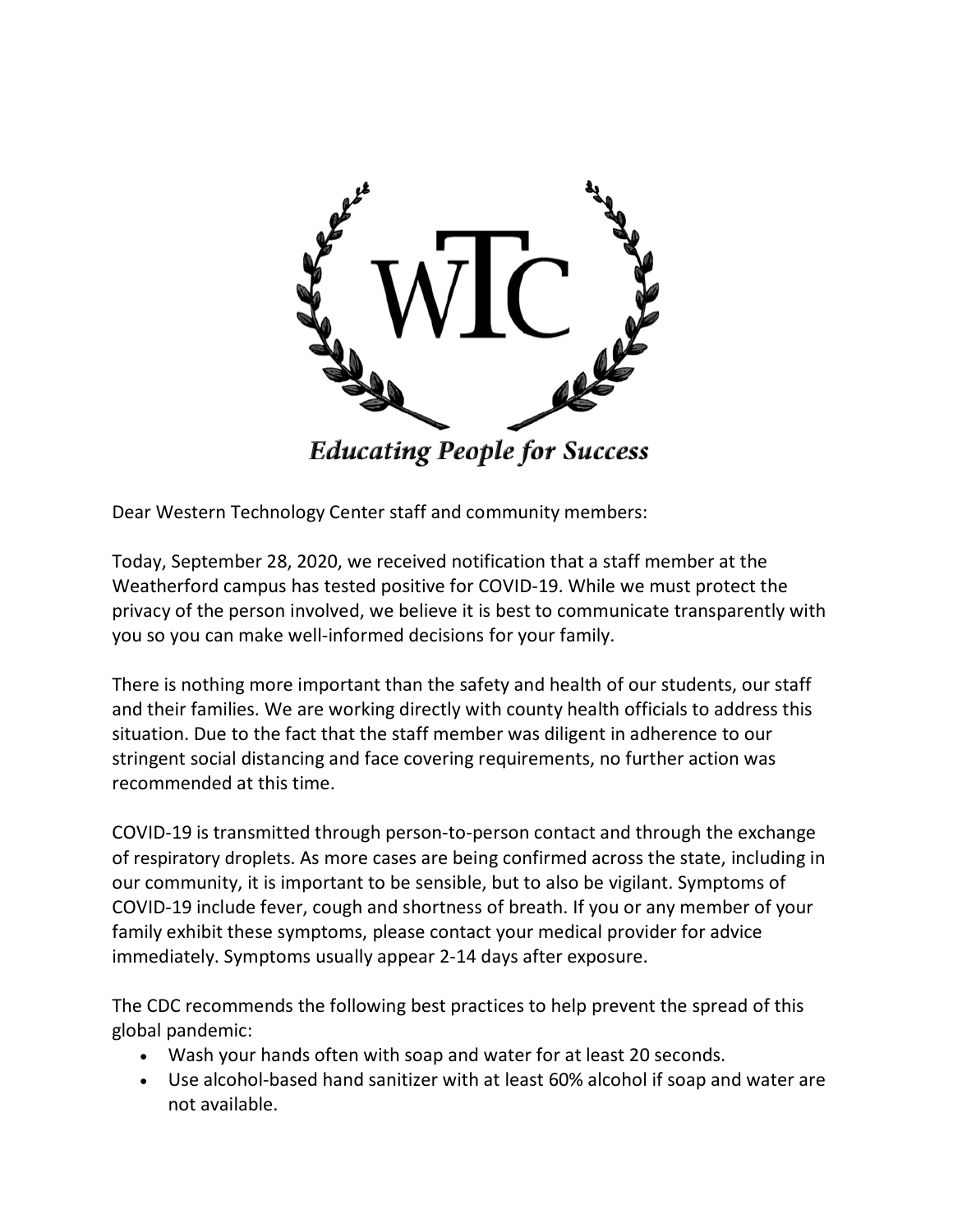

Dear Western Technology Center staff and community members:

Today, September 28, 2020, we received notification that a staff member at the Weatherford campus has tested positive for COVID-19. While we must protect the privacy of the person involved, we believe it is best to communicate transparently with you so you can make well-informed decisions for your family.

There is nothing more important than the safety and health of our students, our staff and their families. We are working directly with county health officials to address this situation. Due to the fact that the staff member was diligent in adherence to our stringent social distancing and face covering requirements, no further action was recommended at this time.

COVID-19 is transmitted through person-to-person contact and through the exchange of respiratory droplets. As more cases are being confirmed across the state, including in our community, it is important to be sensible, but to also be vigilant. Symptoms of COVID-19 include fever, cough and shortness of breath. If you or any member of your family exhibit these symptoms, please contact your medical provider for advice immediately. Symptoms usually appear 2-14 days after exposure.

The CDC recommends the following best practices to help prevent the spread of this global pandemic:

- Wash your hands often with soap and water for at least 20 seconds.
- Use alcohol-based hand sanitizer with at least 60% alcohol if soap and water are not available.